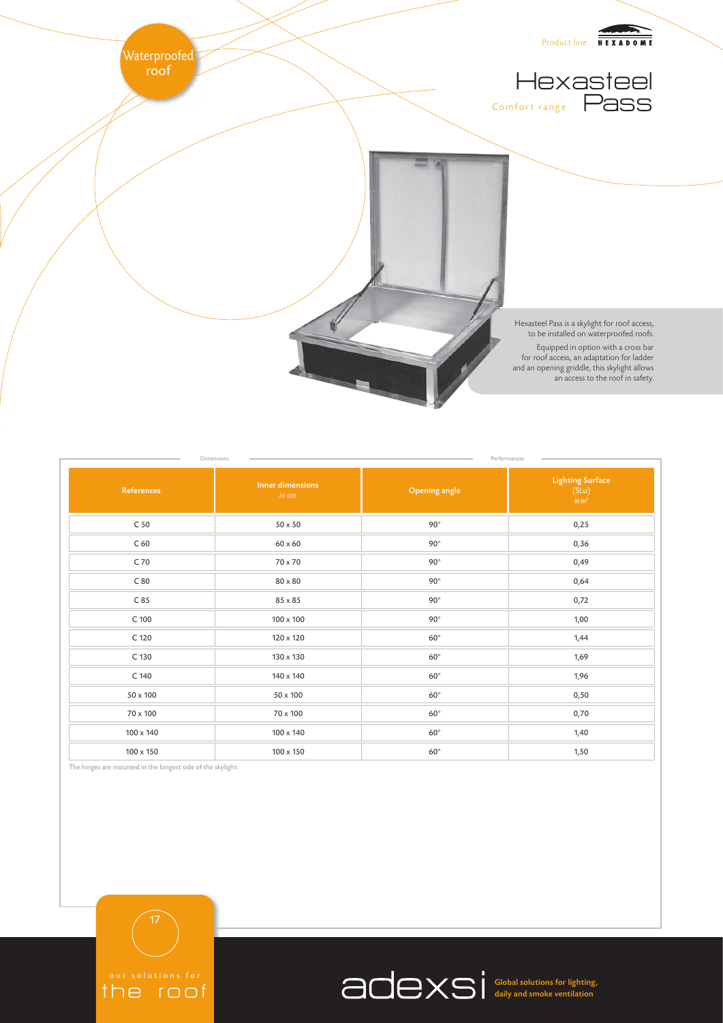

| Dimensions<br>Performances |                                  |                      |                                               |
|----------------------------|----------------------------------|----------------------|-----------------------------------------------|
| References                 | <b>Inner dimensions</b><br>in cm | <b>Opening angle</b> | <b>Lighting Surface</b><br>$(SLu)$<br>$in m2$ |
| C <sub>50</sub>            | $50 \times 50$                   | $90^\circ$           | 0,25                                          |
| C <sub>60</sub>            | $60 \times 60$                   | $90^\circ$           | 0,36                                          |
| C 70                       | 70 x 70                          | $90^\circ$           | 0,49                                          |
| C80                        | $80 \times 80$                   | $90^\circ$           | 0,64                                          |
| C85                        | 85 x 85                          | $90^\circ$           | 0,72                                          |
| $C$ 100                    | $100 \times 100$                 | $90^\circ$           | 1,00                                          |
| C 120                      | 120 x 120                        | $60^{\circ}$         | 1,44                                          |
| C 130                      | 130 x 130                        | $60^{\circ}$         | 1,69                                          |
| C 140                      | 140 x 140                        | $60^{\circ}$         | 1,96                                          |
| $50 \times 100$            | 50 x 100                         | $60^\circ$           | 0,50                                          |
| $70 \times 100$            | 70 x 100                         | $60^{\circ}$         | 0,70                                          |
| 100 x 140                  | 100 x 140                        | $60^{\circ}$         | 1,40                                          |
| 100 x 150                  | 100 x 150                        | $60^{\circ}$         | 1,50                                          |

The hinges are mounted in the longest side of the skylight.





Global solutions for lighting, daily and smoke ventilation